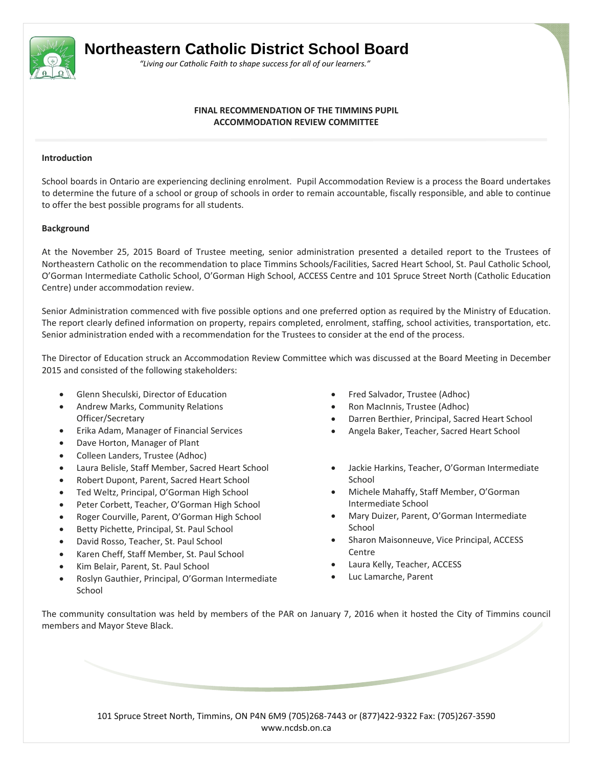

# **Northeastern Catholic District School Board**

 *"Living our Catholic Faith to shape success for all of our learners."*

## **FINAL RECOMMENDATION OF THE TIMMINS PUPIL ACCOMMODATION REVIEW COMMITTEE**

#### **Introduction**

School boards in Ontario are experiencing declining enrolment. Pupil Accommodation Review is a process the Board undertakes to determine the future of a school or group of schools in order to remain accountable, fiscally responsible, and able to continue to offer the best possible programs for all students.

## **Background**

At the November 25, 2015 Board of Trustee meeting, senior administration presented a detailed report to the Trustees of Northeastern Catholic on the recommendation to place Timmins Schools/Facilities, Sacred Heart School, St. Paul Catholic School, O'Gorman Intermediate Catholic School, O'Gorman High School, ACCESS Centre and 101 Spruce Street North (Catholic Education Centre) under accommodation review.

Senior Administration commenced with five possible options and one preferred option as required by the Ministry of Education. The report clearly defined information on property, repairs completed, enrolment, staffing, school activities, transportation, etc. Senior administration ended with a recommendation for the Trustees to consider at the end of the process.

The Director of Education struck an Accommodation Review Committee which was discussed at the Board Meeting in December 2015 and consisted of the following stakeholders:

- Glenn Sheculski, Director of Education
- Andrew Marks, Community Relations Officer/Secretary
- Erika Adam, Manager of Financial Services
- Dave Horton, Manager of Plant
- Colleen Landers, Trustee (Adhoc)
- Laura Belisle, Staff Member, Sacred Heart School
- Robert Dupont, Parent, Sacred Heart School
- Ted Weltz, Principal, O'Gorman High School
- Peter Corbett, Teacher, O'Gorman High School
- Roger Courville, Parent, O'Gorman High School
- Betty Pichette, Principal, St. Paul School
- David Rosso, Teacher, St. Paul School
- Karen Cheff, Staff Member, St. Paul School
- Kim Belair, Parent, St. Paul School
- Roslyn Gauthier, Principal, O'Gorman Intermediate School
- Fred Salvador, Trustee (Adhoc)
- Ron MacInnis, Trustee (Adhoc)
- Darren Berthier, Principal, Sacred Heart School
- Angela Baker, Teacher, Sacred Heart School
- Jackie Harkins, Teacher, O'Gorman Intermediate School
- Michele Mahaffy, Staff Member, O'Gorman Intermediate School
- Mary Duizer, Parent, O'Gorman Intermediate School
- Sharon Maisonneuve, Vice Principal, ACCESS Centre
- Laura Kelly, Teacher, ACCESS
- Luc Lamarche, Parent

The community consultation was held by members of the PAR on January 7, 2016 when it hosted the City of Timmins council members and Mayor Steve Black.

> 101 Spruce Street North, Timmins, ON P4N 6M9 (705)268‐7443 or (877)422‐9322 Fax: (705)267‐3590 www.ncdsb.on.ca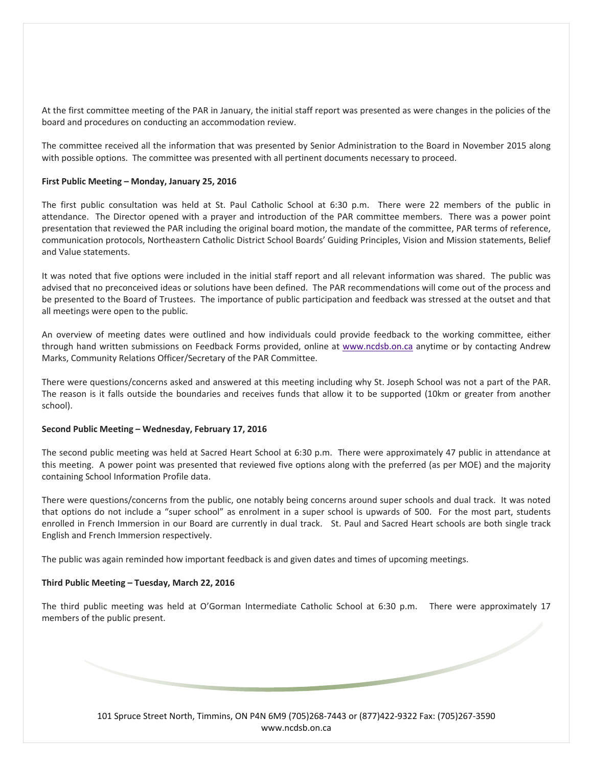At the first committee meeting of the PAR in January, the initial staff report was presented as were changes in the policies of the board and procedures on conducting an accommodation review.

The committee received all the information that was presented by Senior Administration to the Board in November 2015 along with possible options. The committee was presented with all pertinent documents necessary to proceed.

#### **First Public Meeting – Monday, January 25, 2016**

The first public consultation was held at St. Paul Catholic School at 6:30 p.m. There were 22 members of the public in attendance. The Director opened with a prayer and introduction of the PAR committee members. There was a power point presentation that reviewed the PAR including the original board motion, the mandate of the committee, PAR terms of reference, communication protocols, Northeastern Catholic District School Boards' Guiding Principles, Vision and Mission statements, Belief and Value statements.

It was noted that five options were included in the initial staff report and all relevant information was shared. The public was advised that no preconceived ideas or solutions have been defined. The PAR recommendations will come out of the process and be presented to the Board of Trustees. The importance of public participation and feedback was stressed at the outset and that all meetings were open to the public.

An overview of meeting dates were outlined and how individuals could provide feedback to the working committee, either through hand written submissions on Feedback Forms provided, online at www.ncdsb.on.ca anytime or by contacting Andrew Marks, Community Relations Officer/Secretary of the PAR Committee.

There were questions/concerns asked and answered at this meeting including why St. Joseph School was not a part of the PAR. The reason is it falls outside the boundaries and receives funds that allow it to be supported (10km or greater from another school).

#### **Second Public Meeting – Wednesday, February 17, 2016**

The second public meeting was held at Sacred Heart School at 6:30 p.m. There were approximately 47 public in attendance at this meeting. A power point was presented that reviewed five options along with the preferred (as per MOE) and the majority containing School Information Profile data.

There were questions/concerns from the public, one notably being concerns around super schools and dual track. It was noted that options do not include a "super school" as enrolment in a super school is upwards of 500. For the most part, students enrolled in French Immersion in our Board are currently in dual track. St. Paul and Sacred Heart schools are both single track English and French Immersion respectively.

The public was again reminded how important feedback is and given dates and times of upcoming meetings.

#### **Third Public Meeting – Tuesday, March 22, 2016**

The third public meeting was held at O'Gorman Intermediate Catholic School at 6:30 p.m. There were approximately 17 members of the public present.

> 101 Spruce Street North, Timmins, ON P4N 6M9 (705)268‐7443 or (877)422‐9322 Fax: (705)267‐3590 www.ncdsb.on.ca